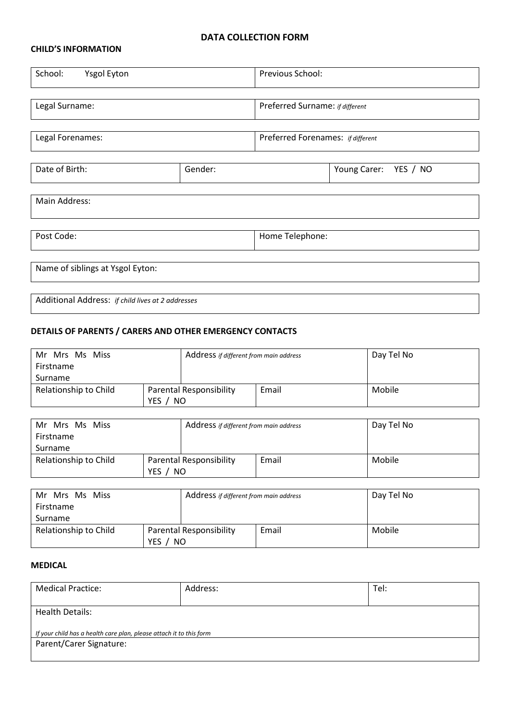## **DATA COLLECTION FORM**

## **CHILD'S INFORMATION**

| School:<br><b>Ysgol Eyton</b>                     |         | Previous School:                  |  |  |  |  |
|---------------------------------------------------|---------|-----------------------------------|--|--|--|--|
| Legal Surname:                                    |         | Preferred Surname: if different   |  |  |  |  |
| Legal Forenames:                                  |         | Preferred Forenames: if different |  |  |  |  |
| Date of Birth:                                    | Gender: | Young Carer:<br>YES / NO          |  |  |  |  |
| Main Address:                                     |         |                                   |  |  |  |  |
| Post Code:                                        |         | Home Telephone:                   |  |  |  |  |
| Name of siblings at Ysgol Eyton:                  |         |                                   |  |  |  |  |
| Additional Address: if child lives at 2 addresses |         |                                   |  |  |  |  |

## **DETAILS OF PARENTS / CARERS AND OTHER EMERGENCY CONTACTS**

| Mr Mrs Ms Miss<br>Firstname |  | Address if different from main address |       | Day Tel No |
|-----------------------------|--|----------------------------------------|-------|------------|
| Surname                     |  |                                        |       |            |
| Relationship to Child       |  | <b>Parental Responsibility</b>         | Email | Mobile     |
| YES.<br>NO.                 |  |                                        |       |            |

| Mr Mrs Ms Miss        |  | Address if different from main address |       | Day Tel No |
|-----------------------|--|----------------------------------------|-------|------------|
| Firstname             |  |                                        |       |            |
| Surname               |  |                                        |       |            |
| Relationship to Child |  | Parental Responsibility                | Email | Mobile     |
| YES<br>NO             |  |                                        |       |            |

| Mr Mrs Ms Miss<br>Firstname                      |  | Address if different from main address |       | Day Tel No |
|--------------------------------------------------|--|----------------------------------------|-------|------------|
| Surname                                          |  |                                        |       |            |
| Relationship to Child<br><b>YES</b><br><b>NO</b> |  | <b>Parental Responsibility</b>         | Email | Mobile     |

## **MEDICAL**

| <b>Medical Practice:</b>                                            | Address: | Tel: |  |  |
|---------------------------------------------------------------------|----------|------|--|--|
| <b>Health Details:</b>                                              |          |      |  |  |
| If your child has a health care plan, please attach it to this form |          |      |  |  |
| Parent/Carer Signature:                                             |          |      |  |  |
|                                                                     |          |      |  |  |